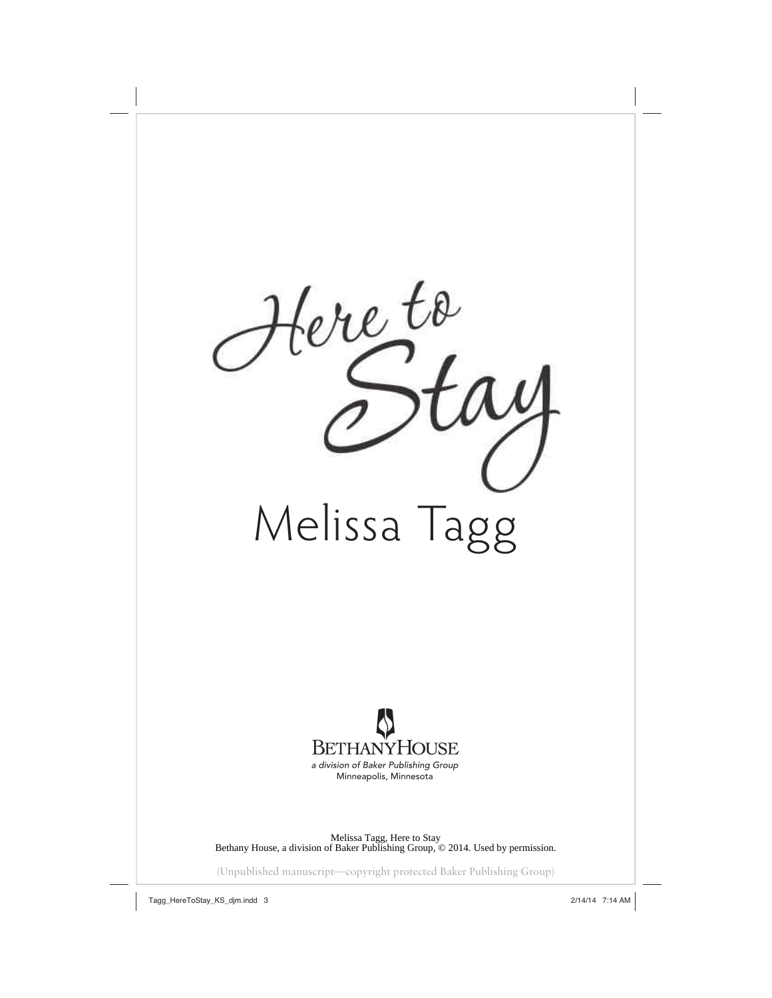



Melissa Tagg, Here to Stay Bethany House, a division of Baker Publishing Group, © 2014. Used by permission.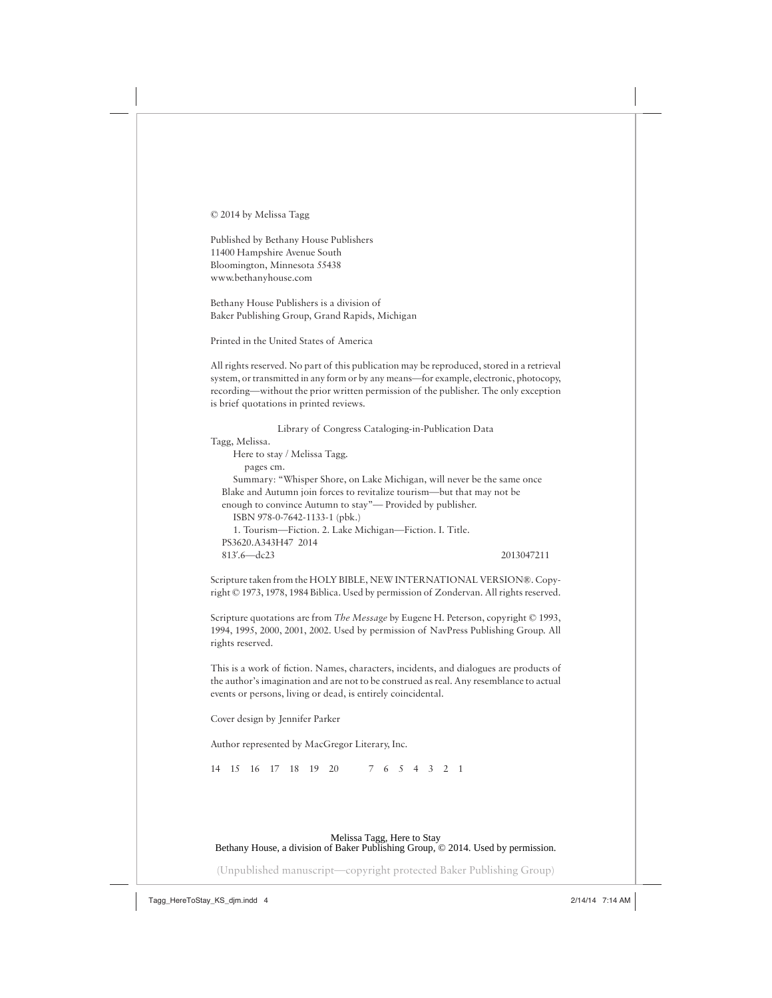© 2014 by Melissa Tagg

Published by Bethany House Publishers 11400 Hampshire Avenue South Bloomington, Minnesota 55438 www.bethanyhouse.com

Bethany House Publishers is a division of Baker Publishing Group, Grand Rapids, Michigan

Printed in the United States of America

All rights reserved. No part of this publication may be reproduced, stored in a retrieval system, or transmitted in any form or by any means—for example, electronic, photocopy, recording—without the prior written permission of the publisher. The only exception is brief quotations in printed reviews.

Library of Congress Cataloging-in-Publication Data

Tagg, Melissa.

Here to stay / Melissa Tagg. pages cm. Summary: "Whisper Shore, on Lake Michigan, will never be the same once Blake and Autumn join forces to revitalize tourism—but that may not be enough to convince Autumn to stay"— Provided by publisher. ISBN 978-0-7642-1133-1 (pbk.) 1. Tourism—Fiction. 2. Lake Michigan—Fiction. I. Title. PS3620.A343H47 2014 813' 6—dc23 2013047211

Scripture taken from the HOLY BIBLE, NEW INTERNATIONAL VERSION®. Copyright © 1973, 1978, 1984 Biblica. Used by permission of Zondervan. All rights reserved.

Scripture quotations are from *The Message* by Eugene H. Peterson, copyright © 1993, 1994, 1995, 2000, 2001, 2002. Used by permission of NavPress Publishing Group. All rights reserved.

This is a work of fiction. Names, characters, incidents, and dialogues are products of the author's imagination and are not to be construed as real. Any resemblance to actual events or persons, living or dead, is entirely coincidental.

Cover design by Jennifer Parker

Author represented by MacGregor Literary, Inc.

14 15 16 17 18 19 20 7 6 5 4 3 2 1

#### Melissa Tagg, Here to Stay Bethany House, a division of Baker Publishing Group, © 2014. Used by permission.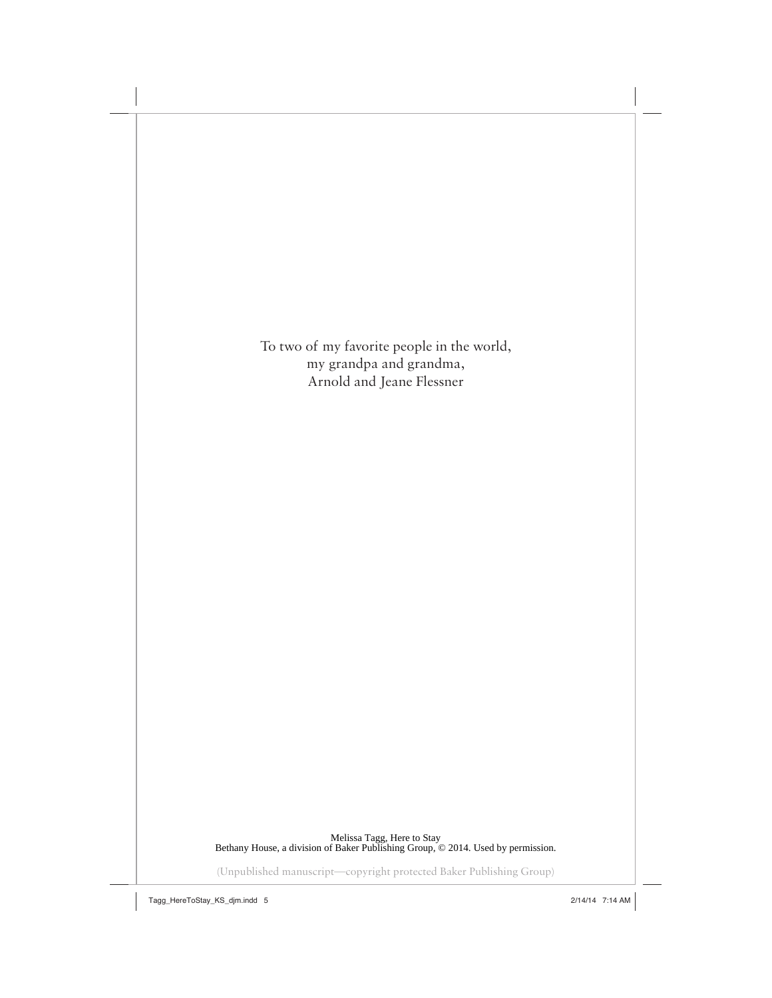To two of my favorite people in the world, my grandpa and grandma, Arnold and Jeane Flessner

Melissa Tagg, Here to Stay Bethany House, a division of Baker Publishing Group, © 2014. Used by permission.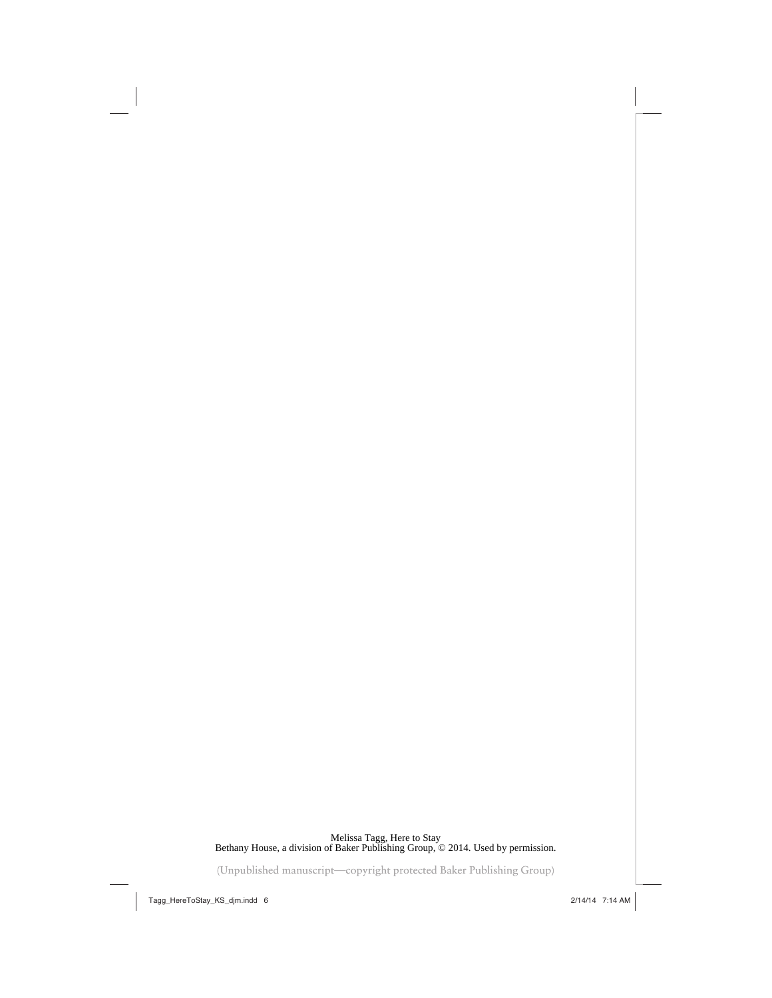Melissa Tagg, Here to Stay Bethany House, a division of Baker Publishing Group, © 2014. Used by permission.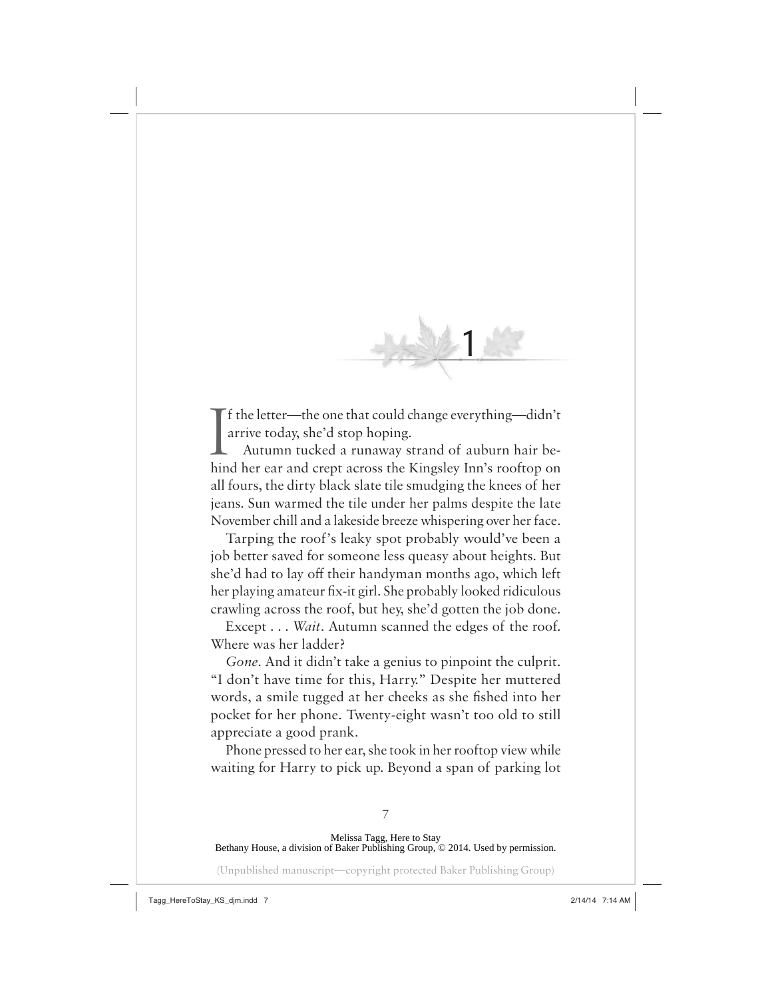f the letter—the one that could change everything—didn't arrive today, she'd stop hoping.

1

If the letter—the one that could change everything—didn't<br>arrive today, she'd stop hoping.<br>Autumn tucked a runaway strand of auburn hair be-<br>hind her ear and crept across the Kingsley Inn's rooftop on Autumn tucked a runaway strand of auburn hair beall fours, the dirty black slate tile smudging the knees of her jeans. Sun warmed the tile under her palms despite the late November chill and a lakeside breeze whispering over her face.

Tarping the roof's leaky spot probably would've been a job better saved for someone less queasy about heights. But she'd had to lay off their handyman months ago, which left her playing amateur fix-it girl. She probably looked ridiculous crawling across the roof, but hey, she'd gotten the job done.

Except . . . *Wait.* Autumn scanned the edges of the roof. Where was her ladder?

*Gone.* And it didn't take a genius to pinpoint the culprit. "I don't have time for this, Harry." Despite her muttered words, a smile tugged at her cheeks as she fished into her pocket for her phone. Twenty-eight wasn't too old to still appreciate a good prank.

Phone pressed to her ear, she took in her rooftop view while waiting for Harry to pick up. Beyond a span of parking lot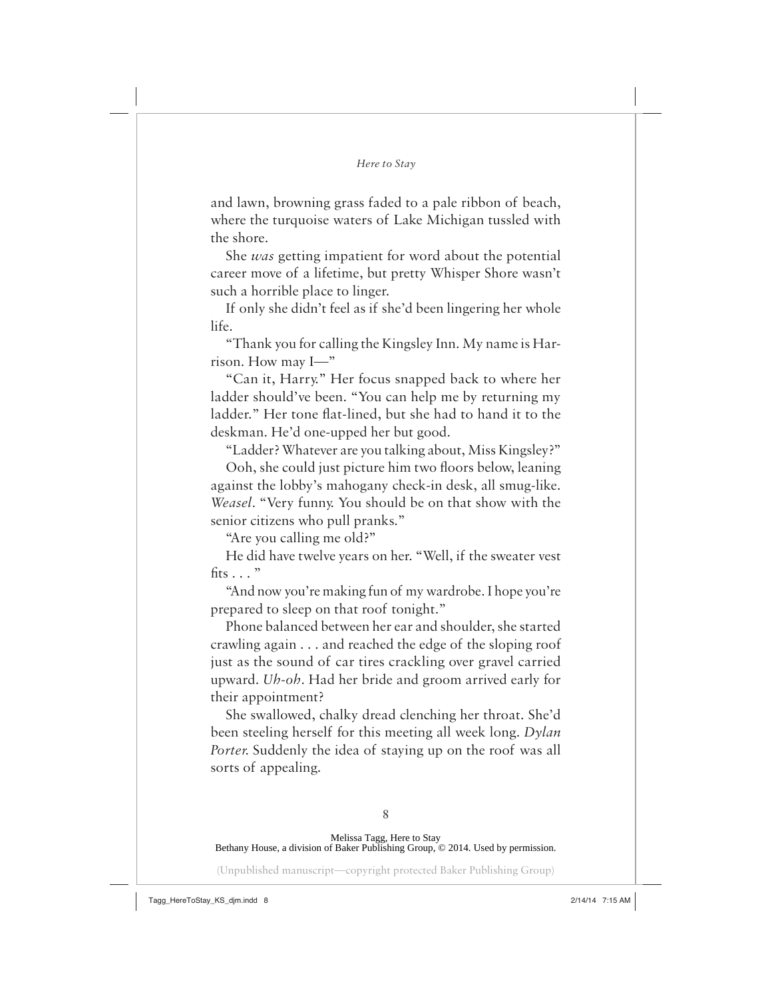and lawn, browning grass faded to a pale ribbon of beach, where the turquoise waters of Lake Michigan tussled with the shore.

She *was* getting impatient for word about the potential career move of a lifetime, but pretty Whisper Shore wasn't such a horrible place to linger.

If only she didn't feel as if she'd been lingering her whole life.

"Thank you for calling the Kingsley Inn. My name is Harrison. How may I—"

"Can it, Harry." Her focus snapped back to where her ladder should've been. "You can help me by returning my ladder." Her tone flat-lined, but she had to hand it to the deskman. He'd one-upped her but good.

"Ladder? Whatever are you talking about, Miss Kingsley?"

Ooh, she could just picture him two floors below, leaning against the lobby's mahogany check-in desk, all smug-like. *Weasel.* "Very funny. You should be on that show with the senior citizens who pull pranks."

"Are you calling me old?"

He did have twelve years on her. "Well, if the sweater vest fits . . . "

"And now you're making fun of my wardrobe. I hope you're prepared to sleep on that roof tonight."

Phone balanced between her ear and shoulder, she started crawling again . . . and reached the edge of the sloping roof just as the sound of car tires crackling over gravel carried upward. *Uh-oh.* Had her bride and groom arrived early for their appointment?

She swallowed, chalky dread clenching her throat. She'd been steeling herself for this meeting all week long. *Dylan Porter.* Suddenly the idea of staying up on the roof was all sorts of appealing.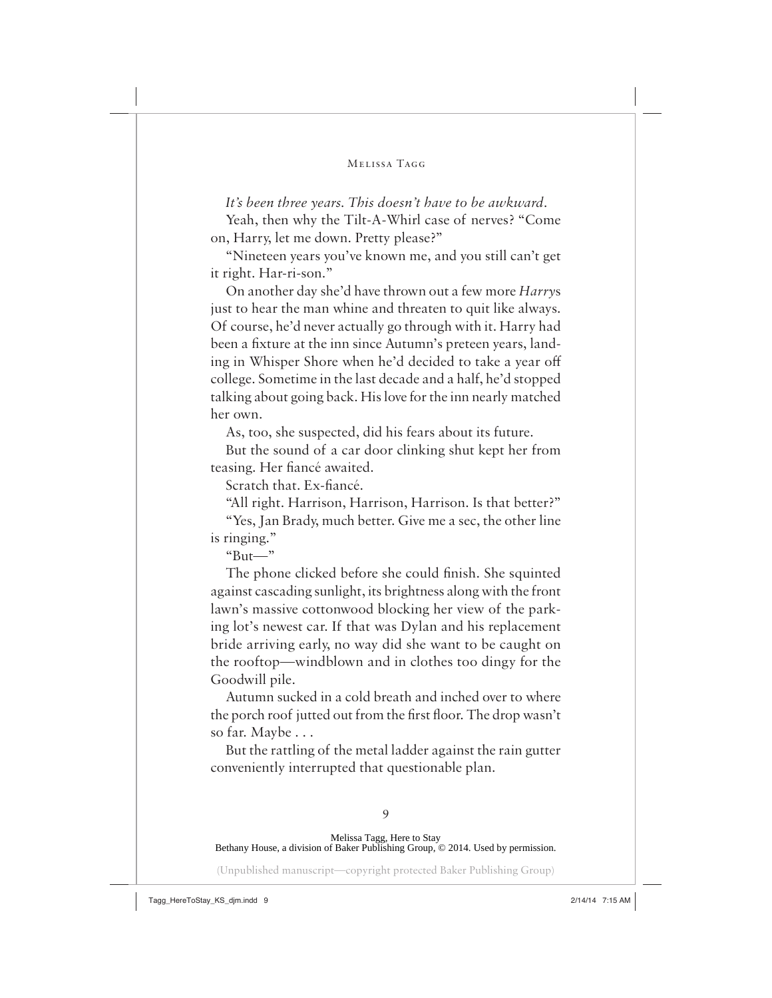*It's been three years. This doesn't have to be awkward.*

Yeah, then why the Tilt-A-Whirl case of nerves? "Come on, Harry, let me down. Pretty please?"

"Nineteen years you've known me, and you still can't get it right. Har-ri-son."

On another day she'd have thrown out a few more *Harry*s just to hear the man whine and threaten to quit like always. Of course, he'd never actually go through with it. Harry had been a fixture at the inn since Autumn's preteen years, landing in Whisper Shore when he'd decided to take a year off college. Sometime in the last decade and a half, he'd stopped talking about going back. His love for the inn nearly matched her own.

As, too, she suspected, did his fears about its future.

But the sound of a car door clinking shut kept her from teasing. Her fiancé awaited.

Scratch that. Ex-fiancé.

"All right. Harrison, Harrison, Harrison. Is that better?"

"Yes, Jan Brady, much better. Give me a sec, the other line is ringing."

 $"But"$ 

The phone clicked before she could finish. She squinted against cascading sunlight, its brightness along with the front lawn's massive cottonwood blocking her view of the parking lot's newest car. If that was Dylan and his replacement bride arriving early, no way did she want to be caught on the rooftop—windblown and in clothes too dingy for the Goodwill pile.

Autumn sucked in a cold breath and inched over to where the porch roof jutted out from the first floor. The drop wasn't so far. Maybe . . .

But the rattling of the metal ladder against the rain gutter conveniently interrupted that questionable plan.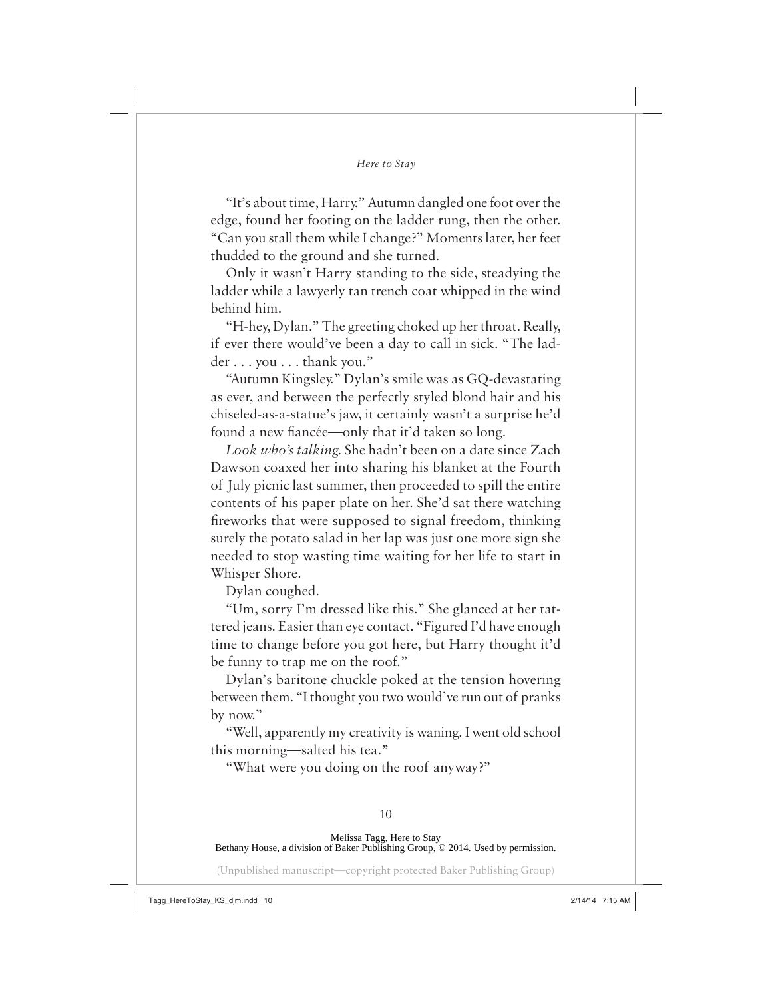"It's about time, Harry." Autumn dangled one foot over the edge, found her footing on the ladder rung, then the other. "Can you stall them while I change?" Moments later, her feet thudded to the ground and she turned.

Only it wasn't Harry standing to the side, steadying the ladder while a lawyerly tan trench coat whipped in the wind behind him.

"H-hey, Dylan." The greeting choked up her throat. Really, if ever there would've been a day to call in sick. "The ladder . . . you . . . thank you."

"Autumn Kingsley." Dylan's smile was as GQ-devastating as ever, and between the perfectly styled blond hair and his chiseled-as-a-statue's jaw, it certainly wasn't a surprise he'd found a new fiancée—only that it'd taken so long.

*Look who's talking.* She hadn't been on a date since Zach Dawson coaxed her into sharing his blanket at the Fourth of July picnic last summer, then proceeded to spill the entire contents of his paper plate on her. She'd sat there watching fireworks that were supposed to signal freedom, thinking surely the potato salad in her lap was just one more sign she needed to stop wasting time waiting for her life to start in Whisper Shore.

Dylan coughed.

"Um, sorry I'm dressed like this." She glanced at her tattered jeans. Easier than eye contact. "Figured I'd have enough time to change before you got here, but Harry thought it'd be funny to trap me on the roof."

Dylan's baritone chuckle poked at the tension hovering between them. "I thought you two would've run out of pranks by now."

"Well, apparently my creativity is waning. I went old school this morning—salted his tea."

"What were you doing on the roof anyway?"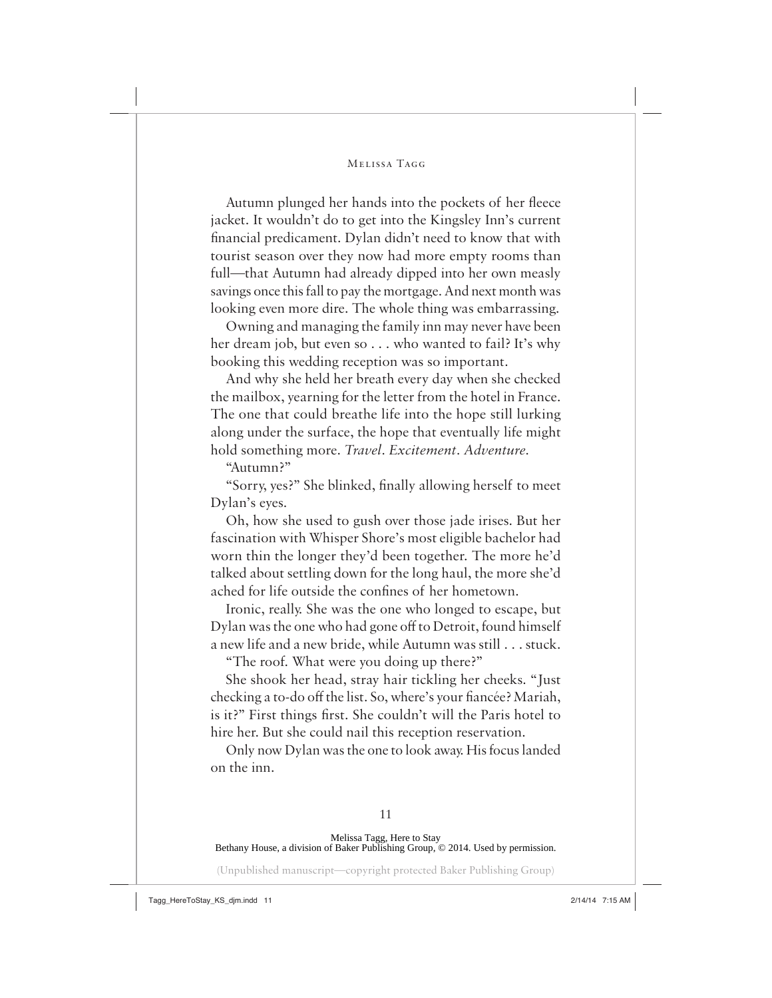Autumn plunged her hands into the pockets of her fleece jacket. It wouldn't do to get into the Kingsley Inn's current financial predicament. Dylan didn't need to know that with tourist season over they now had more empty rooms than full—that Autumn had already dipped into her own measly savings once this fall to pay the mortgage. And next month was looking even more dire. The whole thing was embarrassing.

Owning and managing the family inn may never have been her dream job, but even so . . . who wanted to fail? It's why booking this wedding reception was so important.

And why she held her breath every day when she checked the mailbox, yearning for the letter from the hotel in France. The one that could breathe life into the hope still lurking along under the surface, the hope that eventually life might hold something more. *Travel. Excitement. Adventure.*

"Autumn?"

"Sorry, yes?" She blinked, finally allowing herself to meet Dylan's eyes.

Oh, how she used to gush over those jade irises. But her fascination with Whisper Shore's most eligible bachelor had worn thin the longer they'd been together. The more he'd talked about settling down for the long haul, the more she'd ached for life outside the confines of her hometown.

Ironic, really. She was the one who longed to escape, but Dylan was the one who had gone off to Detroit, found himself a new life and a new bride, while Autumn was still . . . stuck.

"The roof. What were you doing up there?"

She shook her head, stray hair tickling her cheeks. "Just checking a to-do off the list. So, where's your fiancée? Mariah, is it?" First things first. She couldn't will the Paris hotel to hire her. But she could nail this reception reservation.

Only now Dylan was the one to look away. His focus landed on the inn.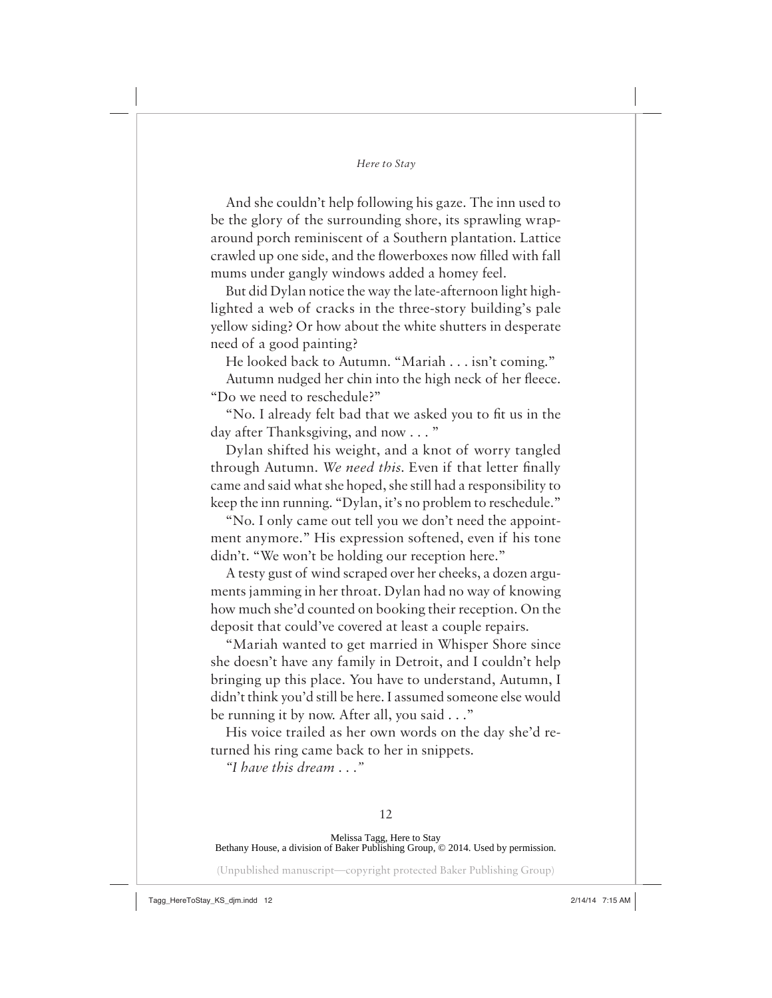And she couldn't help following his gaze. The inn used to be the glory of the surrounding shore, its sprawling wraparound porch reminiscent of a Southern plantation. Lattice crawled up one side, and the flowerboxes now filled with fall mums under gangly windows added a homey feel.

But did Dylan notice the way the late-afternoon light highlighted a web of cracks in the three-story building's pale yellow siding? Or how about the white shutters in desperate need of a good painting?

He looked back to Autumn. "Mariah . . . isn't coming."

Autumn nudged her chin into the high neck of her fleece. "Do we need to reschedule?"

"No. I already felt bad that we asked you to fit us in the day after Thanksgiving, and now . . . "

Dylan shifted his weight, and a knot of worry tangled through Autumn. *We need this.* Even if that letter finally came and said what she hoped, she still had a responsibility to keep the inn running. "Dylan, it's no problem to reschedule."

"No. I only came out tell you we don't need the appointment anymore." His expression softened, even if his tone didn't. "We won't be holding our reception here."

A testy gust of wind scraped over her cheeks, a dozen arguments jamming in her throat. Dylan had no way of knowing how much she'd counted on booking their reception. On the deposit that could've covered at least a couple repairs.

"Mariah wanted to get married in Whisper Shore since she doesn't have any family in Detroit, and I couldn't help bringing up this place. You have to understand, Autumn, I didn't think you'd still be here. I assumed someone else would be running it by now. After all, you said . . ."

His voice trailed as her own words on the day she'd returned his ring came back to her in snippets.

*"I have this dream . . ."*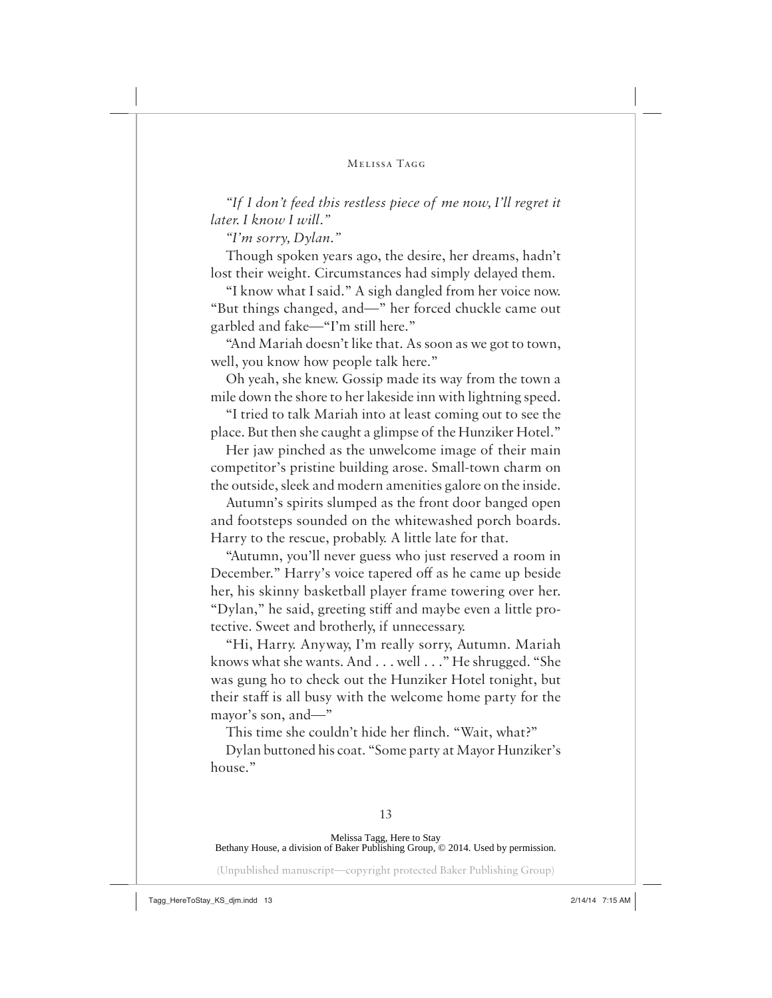*"If I don't feed this restless piece of me now, I'll regret it later. I know I will."*

# *"I'm sorry, Dylan."*

Though spoken years ago, the desire, her dreams, hadn't lost their weight. Circumstances had simply delayed them.

"I know what I said." A sigh dangled from her voice now. "But things changed, and—" her forced chuckle came out garbled and fake—"I'm still here."

"And Mariah doesn't like that. As soon as we got to town, well, you know how people talk here."

Oh yeah, she knew. Gossip made its way from the town a mile down the shore to her lakeside inn with lightning speed.

"I tried to talk Mariah into at least coming out to see the place. But then she caught a glimpse of the Hunziker Hotel."

Her jaw pinched as the unwelcome image of their main competitor's pristine building arose. Small-town charm on the outside, sleek and modern amenities galore on the inside.

Autumn's spirits slumped as the front door banged open and footsteps sounded on the whitewashed porch boards. Harry to the rescue, probably. A little late for that.

"Autumn, you'll never guess who just reserved a room in December." Harry's voice tapered off as he came up beside her, his skinny basketball player frame towering over her. "Dylan," he said, greeting stiff and maybe even a little protective. Sweet and brotherly, if unnecessary.

"Hi, Harry. Anyway, I'm really sorry, Autumn. Mariah knows what she wants. And . . . well . . ." He shrugged. "She was gung ho to check out the Hunziker Hotel tonight, but their staff is all busy with the welcome home party for the mayor's son, and—"

This time she couldn't hide her flinch. "Wait, what?"

Dylan buttoned his coat. "Some party at Mayor Hunziker's house."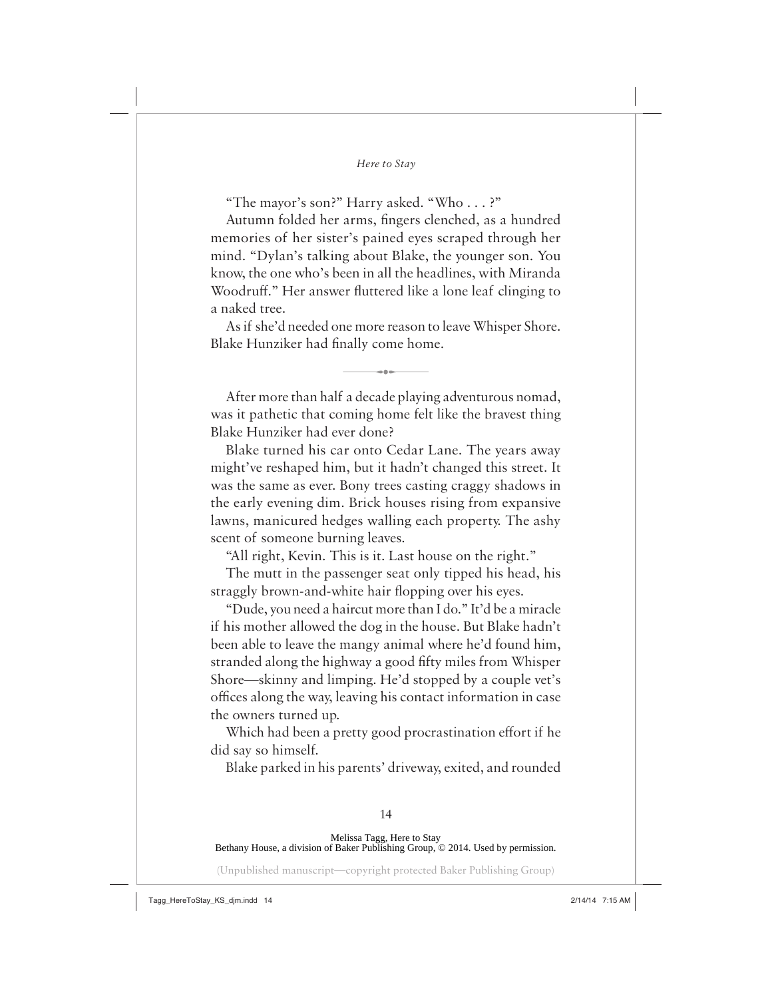"The mayor's son?" Harry asked. "Who . . . ?"

Autumn folded her arms, fingers clenched, as a hundred memories of her sister's pained eyes scraped through her mind. "Dylan's talking about Blake, the younger son. You know, the one who's been in all the headlines, with Miranda Woodruff." Her answer fluttered like a lone leaf clinging to a naked tree.

As if she'd needed one more reason to leave Whisper Shore. Blake Hunziker had finally come home.

After more than half a decade playing adventurous nomad, was it pathetic that coming home felt like the bravest thing Blake Hunziker had ever done?

Blake turned his car onto Cedar Lane. The years away might've reshaped him, but it hadn't changed this street. It was the same as ever. Bony trees casting craggy shadows in the early evening dim. Brick houses rising from expansive lawns, manicured hedges walling each property. The ashy scent of someone burning leaves.

"All right, Kevin. This is it. Last house on the right."

The mutt in the passenger seat only tipped his head, his straggly brown-and-white hair flopping over his eyes.

"Dude, you need a haircut more than I do." It'd be a miracle if his mother allowed the dog in the house. But Blake hadn't been able to leave the mangy animal where he'd found him, stranded along the highway a good fifty miles from Whisper Shore—skinny and limping. He'd stopped by a couple vet's offices along the way, leaving his contact information in case the owners turned up.

Which had been a pretty good procrastination effort if he did say so himself.

Blake parked in his parents' driveway, exited, and rounded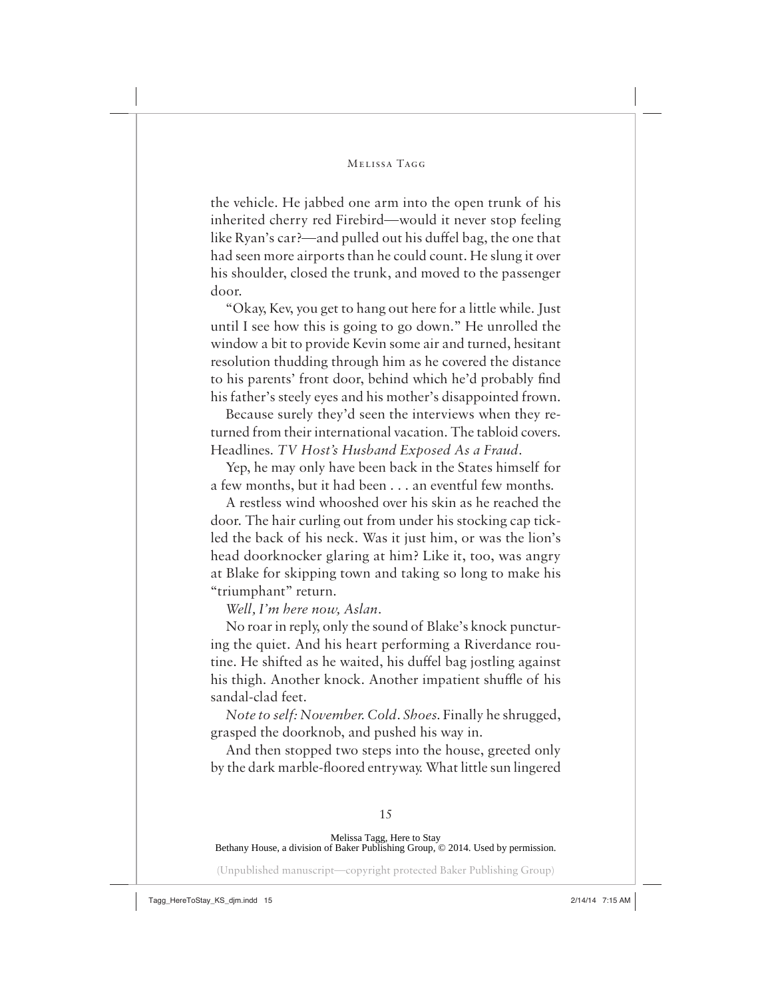the vehicle. He jabbed one arm into the open trunk of his inherited cherry red Firebird—would it never stop feeling like Ryan's car?—and pulled out his duffel bag, the one that had seen more airports than he could count. He slung it over his shoulder, closed the trunk, and moved to the passenger door.

"Okay, Kev, you get to hang out here for a little while. Just until I see how this is going to go down." He unrolled the window a bit to provide Kevin some air and turned, hesitant resolution thudding through him as he covered the distance to his parents' front door, behind which he'd probably find his father's steely eyes and his mother's disappointed frown.

Because surely they'd seen the interviews when they returned from their international vacation. The tabloid covers. Headlines. *TV Host's Husband Exposed As a Fraud.*

Yep, he may only have been back in the States himself for a few months, but it had been . . . an eventful few months.

A restless wind whooshed over his skin as he reached the door. The hair curling out from under his stocking cap tickled the back of his neck. Was it just him, or was the lion's head doorknocker glaring at him? Like it, too, was angry at Blake for skipping town and taking so long to make his "triumphant" return.

*Well, I'm here now, Aslan.*

No roar in reply, only the sound of Blake's knock puncturing the quiet. And his heart performing a Riverdance routine. He shifted as he waited, his duffel bag jostling against his thigh. Another knock. Another impatient shuffle of his sandal-clad feet.

*Note to self: November. Cold. Shoes.* Finally he shrugged, grasped the doorknob, and pushed his way in.

And then stopped two steps into the house, greeted only by the dark marble-floored entryway. What little sun lingered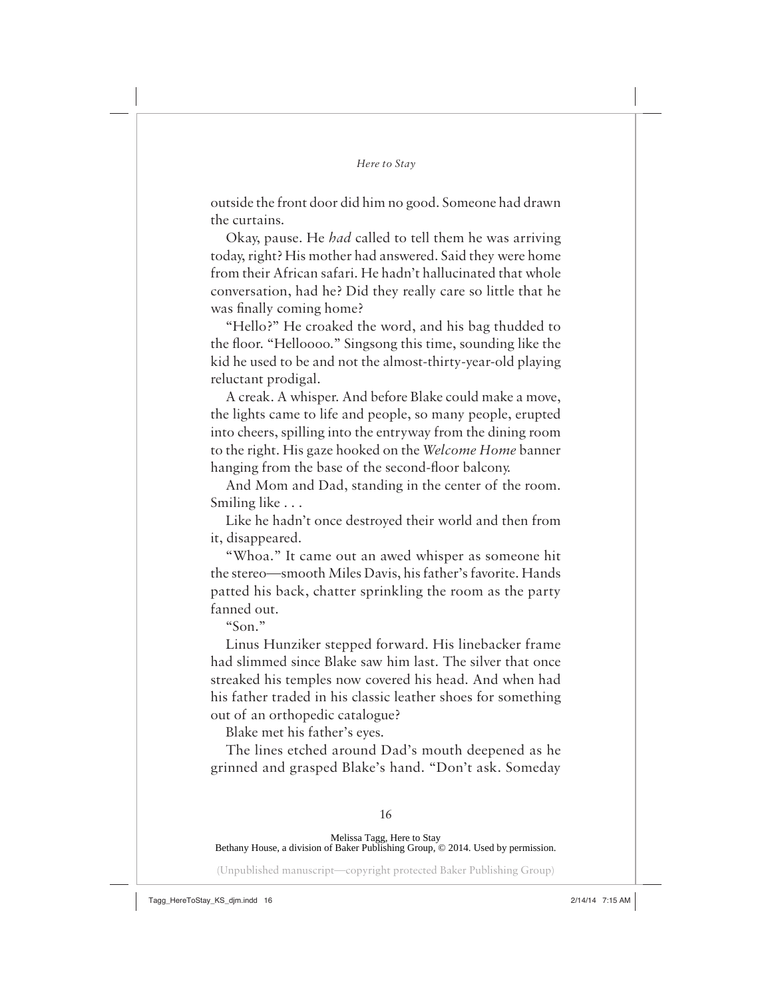outside the front door did him no good. Someone had drawn the curtains.

Okay, pause. He *had* called to tell them he was arriving today, right? His mother had answered. Said they were home from their African safari. He hadn't hallucinated that whole conversation, had he? Did they really care so little that he was finally coming home?

"Hello?" He croaked the word, and his bag thudded to the floor. "Helloooo." Singsong this time, sounding like the kid he used to be and not the almost-thirty-year-old playing reluctant prodigal.

A creak. A whisper. And before Blake could make a move, the lights came to life and people, so many people, erupted into cheers, spilling into the entryway from the dining room to the right. His gaze hooked on the *Welcome Home* banner hanging from the base of the second-floor balcony.

And Mom and Dad, standing in the center of the room. Smiling like . . .

Like he hadn't once destroyed their world and then from it, disappeared.

"Whoa." It came out an awed whisper as someone hit the stereo—smooth Miles Davis, his father's favorite. Hands patted his back, chatter sprinkling the room as the party fanned out.

"Son."

Linus Hunziker stepped forward. His linebacker frame had slimmed since Blake saw him last. The silver that once streaked his temples now covered his head. And when had his father traded in his classic leather shoes for something out of an orthopedic catalogue?

Blake met his father's eyes.

The lines etched around Dad's mouth deepened as he grinned and grasped Blake's hand. "Don't ask. Someday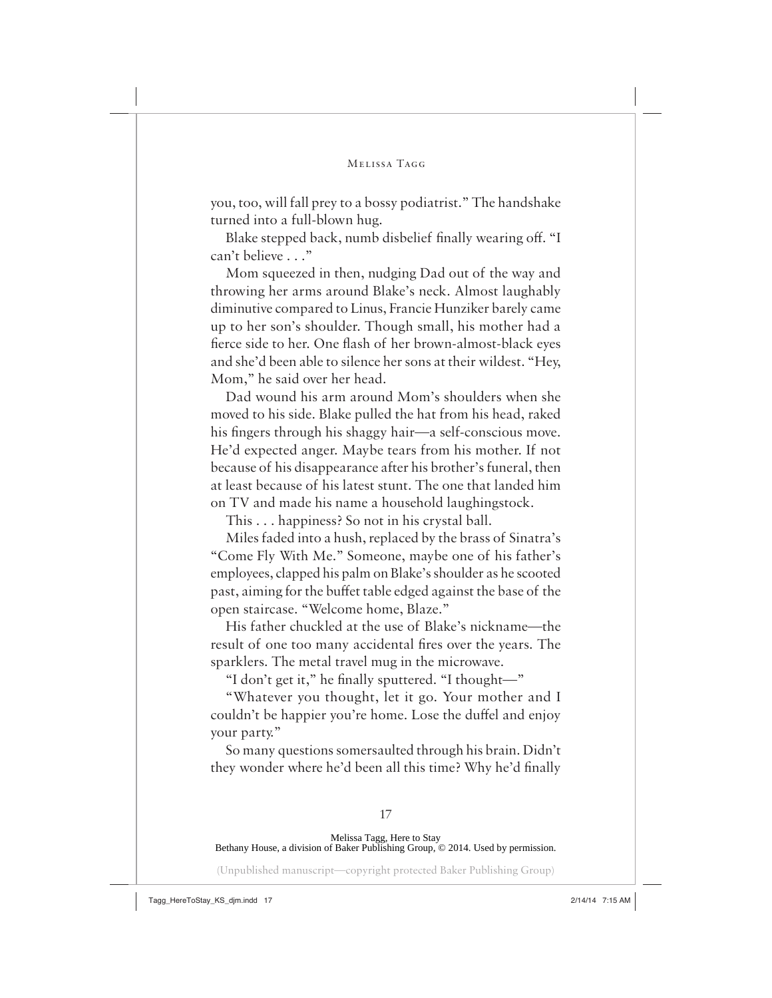you, too, will fall prey to a bossy podiatrist." The handshake turned into a full-blown hug.

Blake stepped back, numb disbelief finally wearing off. "I can't believe . . ."

Mom squeezed in then, nudging Dad out of the way and throwing her arms around Blake's neck. Almost laughably diminutive compared to Linus, Francie Hunziker barely came up to her son's shoulder. Though small, his mother had a fierce side to her. One flash of her brown-almost-black eyes and she'd been able to silence her sons at their wildest. "Hey, Mom," he said over her head.

Dad wound his arm around Mom's shoulders when she moved to his side. Blake pulled the hat from his head, raked his fingers through his shaggy hair—a self-conscious move. He'd expected anger. Maybe tears from his mother. If not because of his disappearance after his brother's funeral, then at least because of his latest stunt. The one that landed him on TV and made his name a household laughingstock.

This . . . happiness? So not in his crystal ball.

Miles faded into a hush, replaced by the brass of Sinatra's "Come Fly With Me." Someone, maybe one of his father's employees, clapped his palm on Blake's shoulder as he scooted past, aiming for the buffet table edged against the base of the open staircase. "Welcome home, Blaze."

His father chuckled at the use of Blake's nickname—the result of one too many accidental fires over the years. The sparklers. The metal travel mug in the microwave.

"I don't get it," he finally sputtered. "I thought—"

"Whatever you thought, let it go. Your mother and I couldn't be happier you're home. Lose the duffel and enjoy your party."

So many questions somersaulted through his brain. Didn't they wonder where he'd been all this time? Why he'd finally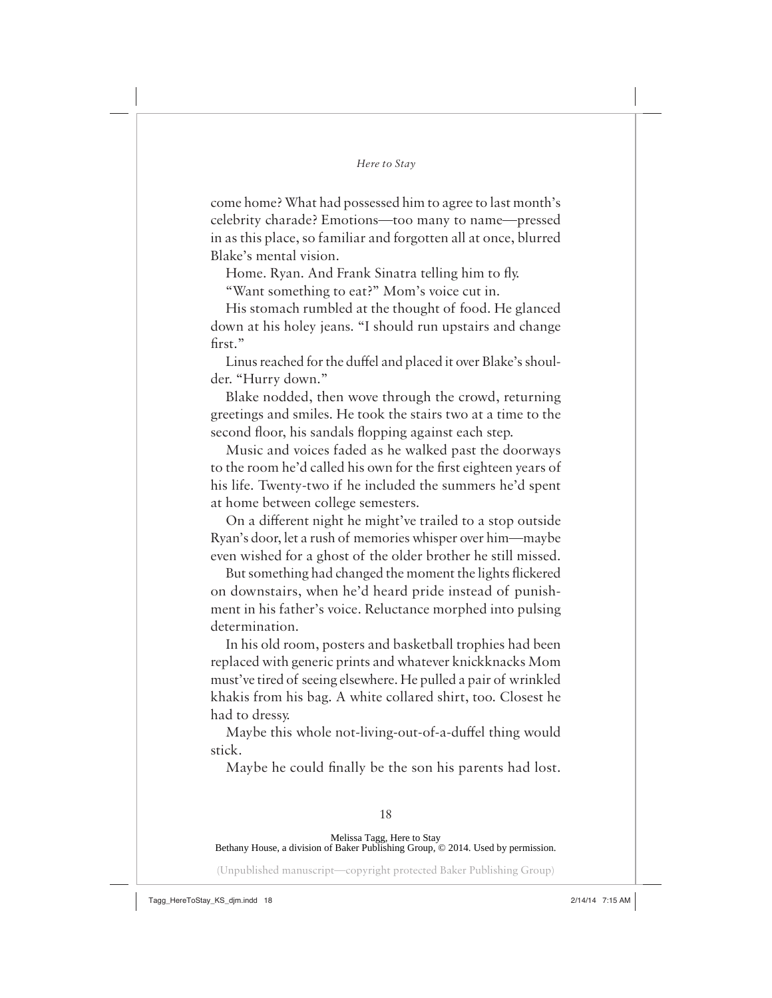come home? What had possessed him to agree to last month's celebrity charade? Emotions—too many to name—pressed in as this place, so familiar and forgotten all at once, blurred Blake's mental vision.

Home. Ryan. And Frank Sinatra telling him to fly.

"Want something to eat?" Mom's voice cut in.

His stomach rumbled at the thought of food. He glanced down at his holey jeans. "I should run upstairs and change first."

Linus reached for the duffel and placed it over Blake's shoulder. "Hurry down."

Blake nodded, then wove through the crowd, returning greetings and smiles. He took the stairs two at a time to the second floor, his sandals flopping against each step.

Music and voices faded as he walked past the doorways to the room he'd called his own for the first eighteen years of his life. Twenty-two if he included the summers he'd spent at home between college semesters.

On a different night he might've trailed to a stop outside Ryan's door, let a rush of memories whisper over him—maybe even wished for a ghost of the older brother he still missed.

But something had changed the moment the lights flickered on downstairs, when he'd heard pride instead of punishment in his father's voice. Reluctance morphed into pulsing determination.

In his old room, posters and basketball trophies had been replaced with generic prints and whatever knickknacks Mom must've tired of seeing elsewhere. He pulled a pair of wrinkled khakis from his bag. A white collared shirt, too. Closest he had to dressy.

Maybe this whole not-living-out-of-a-duffel thing would stick.

Maybe he could finally be the son his parents had lost.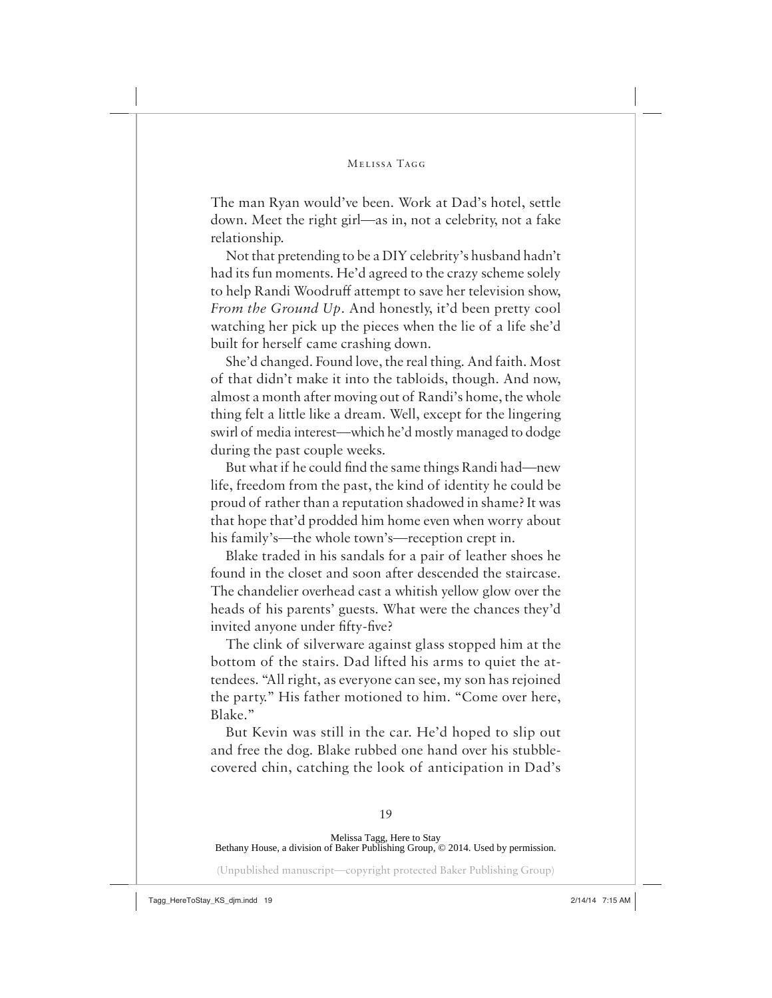The man Ryan would've been. Work at Dad's hotel, settle down. Meet the right girl—as in, not a celebrity, not a fake relationship.

Not that pretending to be a DIY celebrity's husband hadn't had its fun moments. He'd agreed to the crazy scheme solely to help Randi Woodruff attempt to save her television show, *From the Ground Up*. And honestly, it'd been pretty cool watching her pick up the pieces when the lie of a life she'd built for herself came crashing down.

She'd changed. Found love, the real thing. And faith. Most of that didn't make it into the tabloids, though. And now, almost a month after moving out of Randi's home, the whole thing felt a little like a dream. Well, except for the lingering swirl of media interest—which he'd mostly managed to dodge during the past couple weeks.

But what if he could find the same things Randi had—new life, freedom from the past, the kind of identity he could be proud of rather than a reputation shadowed in shame? It was that hope that'd prodded him home even when worry about his family's—the whole town's—reception crept in.

Blake traded in his sandals for a pair of leather shoes he found in the closet and soon after descended the staircase. The chandelier overhead cast a whitish yellow glow over the heads of his parents' guests. What were the chances they'd invited anyone under fifty-five?

The clink of silverware against glass stopped him at the bottom of the stairs. Dad lifted his arms to quiet the attendees. "All right, as everyone can see, my son has rejoined the party." His father motioned to him. "Come over here, Blake."

But Kevin was still in the car. He'd hoped to slip out and free the dog. Blake rubbed one hand over his stubblecovered chin, catching the look of anticipation in Dad's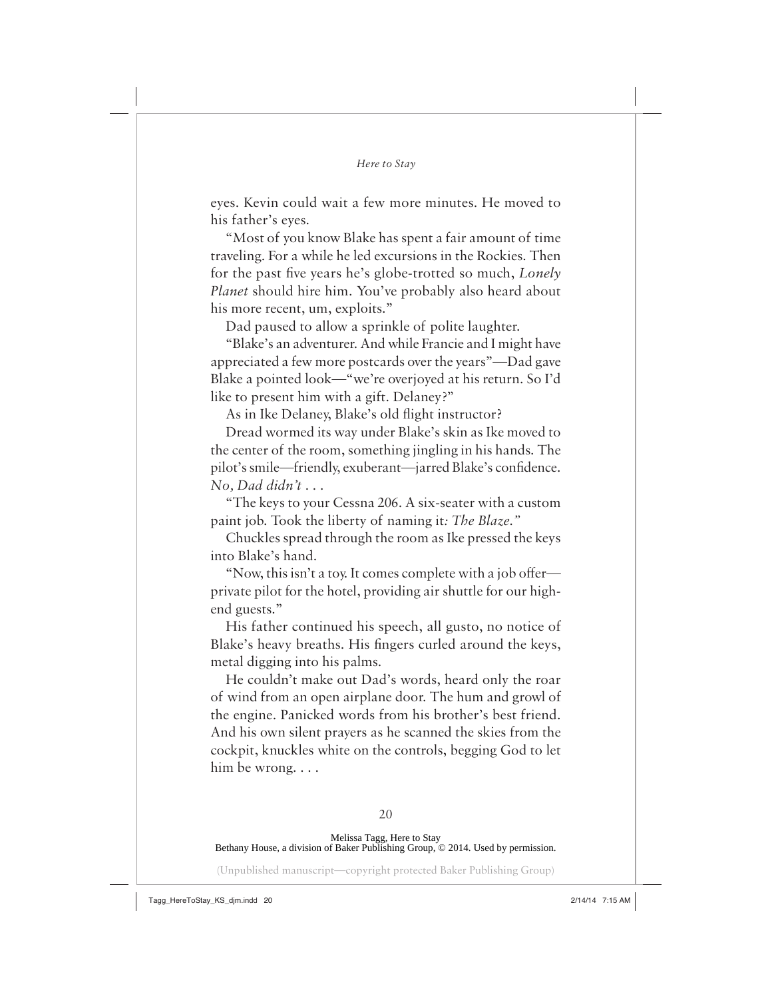eyes. Kevin could wait a few more minutes. He moved to his father's eyes.

"Most of you know Blake has spent a fair amount of time traveling. For a while he led excursions in the Rockies. Then for the past five years he's globe-trotted so much, *Lonely Planet* should hire him. You've probably also heard about his more recent, um, exploits."

Dad paused to allow a sprinkle of polite laughter.

"Blake's an adventurer. And while Francie and I might have appreciated a few more postcards over the years"—Dad gave Blake a pointed look—"we're overjoyed at his return. So I'd like to present him with a gift. Delaney?"

As in Ike Delaney, Blake's old flight instructor?

Dread wormed its way under Blake's skin as Ike moved to the center of the room, something jingling in his hands. The pilot's smile—friendly, exuberant—jarred Blake's confidence. *No, Dad didn't . . .*

"The keys to your Cessna 206. A six-seater with a custom paint job. Took the liberty of naming it*: The Blaze."*

Chuckles spread through the room as Ike pressed the keys into Blake's hand.

"Now, this isn't a toy. It comes complete with a job offer private pilot for the hotel, providing air shuttle for our highend guests."

His father continued his speech, all gusto, no notice of Blake's heavy breaths. His fingers curled around the keys, metal digging into his palms.

He couldn't make out Dad's words, heard only the roar of wind from an open airplane door. The hum and growl of the engine. Panicked words from his brother's best friend. And his own silent prayers as he scanned the skies from the cockpit, knuckles white on the controls, begging God to let him be wrong. . . .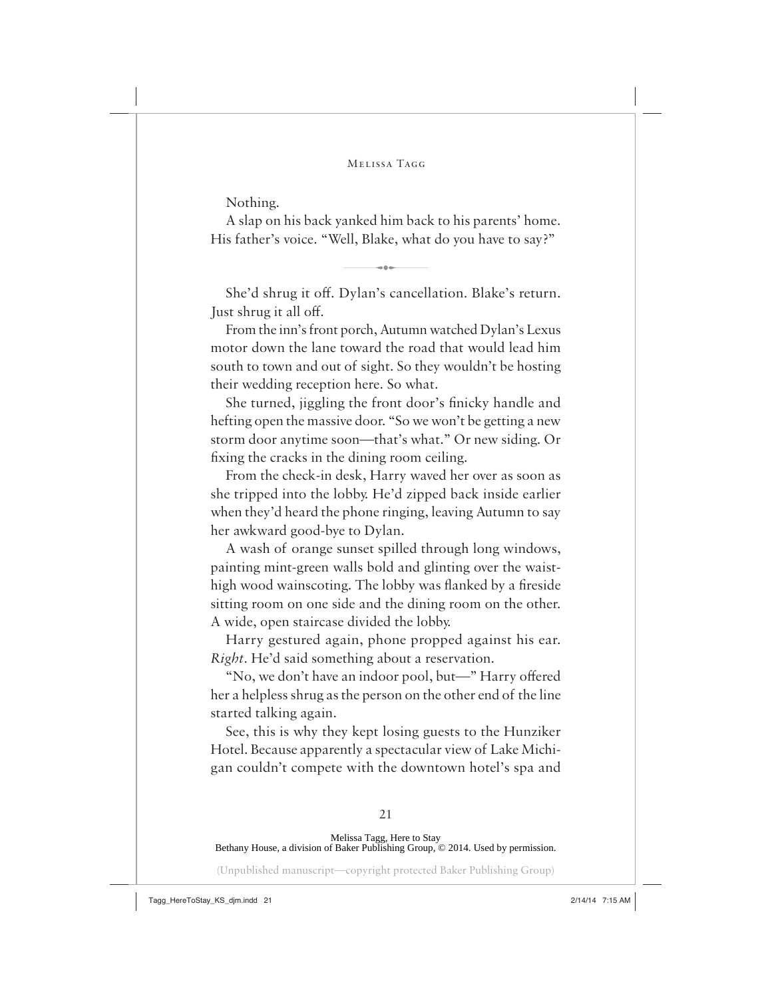Nothing.

A slap on his back yanked him back to his parents' home. His father's voice. "Well, Blake, what do you have to say?"

She'd shrug it off. Dylan's cancellation. Blake's return. Just shrug it all off.

From the inn's front porch, Autumn watched Dylan's Lexus motor down the lane toward the road that would lead him south to town and out of sight. So they wouldn't be hosting their wedding reception here. So what.

She turned, jiggling the front door's finicky handle and hefting open the massive door. "So we won't be getting a new storm door anytime soon—that's what." Or new siding. Or fixing the cracks in the dining room ceiling.

From the check-in desk, Harry waved her over as soon as she tripped into the lobby. He'd zipped back inside earlier when they'd heard the phone ringing, leaving Autumn to say her awkward good-bye to Dylan.

A wash of orange sunset spilled through long windows, painting mint-green walls bold and glinting over the waisthigh wood wainscoting. The lobby was flanked by a fireside sitting room on one side and the dining room on the other. A wide, open staircase divided the lobby.

Harry gestured again, phone propped against his ear. *Right.* He'd said something about a reservation.

"No, we don't have an indoor pool, but—" Harry offered her a helpless shrug as the person on the other end of the line started talking again.

See, this is why they kept losing guests to the Hunziker Hotel. Because apparently a spectacular view of Lake Michigan couldn't compete with the downtown hotel's spa and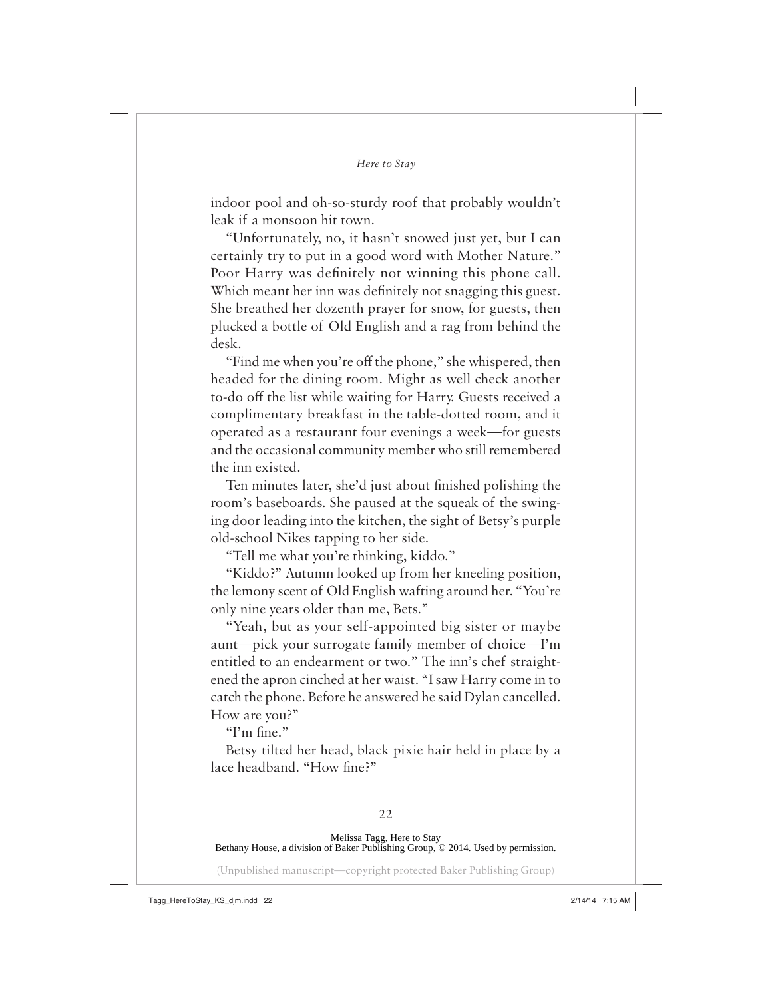indoor pool and oh-so-sturdy roof that probably wouldn't leak if a monsoon hit town.

"Unfortunately, no, it hasn't snowed just yet, but I can certainly try to put in a good word with Mother Nature." Poor Harry was definitely not winning this phone call. Which meant her inn was definitely not snagging this guest. She breathed her dozenth prayer for snow, for guests, then plucked a bottle of Old English and a rag from behind the desk.

"Find me when you're off the phone," she whispered, then headed for the dining room. Might as well check another to-do off the list while waiting for Harry. Guests received a complimentary breakfast in the table-dotted room, and it operated as a restaurant four evenings a week—for guests and the occasional community member who still remembered the inn existed.

Ten minutes later, she'd just about finished polishing the room's baseboards. She paused at the squeak of the swinging door leading into the kitchen, the sight of Betsy's purple old-school Nikes tapping to her side.

"Tell me what you're thinking, kiddo."

"Kiddo?" Autumn looked up from her kneeling position, the lemony scent of Old English wafting around her. "You're only nine years older than me, Bets."

"Yeah, but as your self-appointed big sister or maybe aunt—pick your surrogate family member of choice—I'm entitled to an endearment or two." The inn's chef straightened the apron cinched at her waist. "I saw Harry come in to catch the phone. Before he answered he said Dylan cancelled. How are you?"

"I'm fine."

Betsy tilted her head, black pixie hair held in place by a lace headband. "How fine?"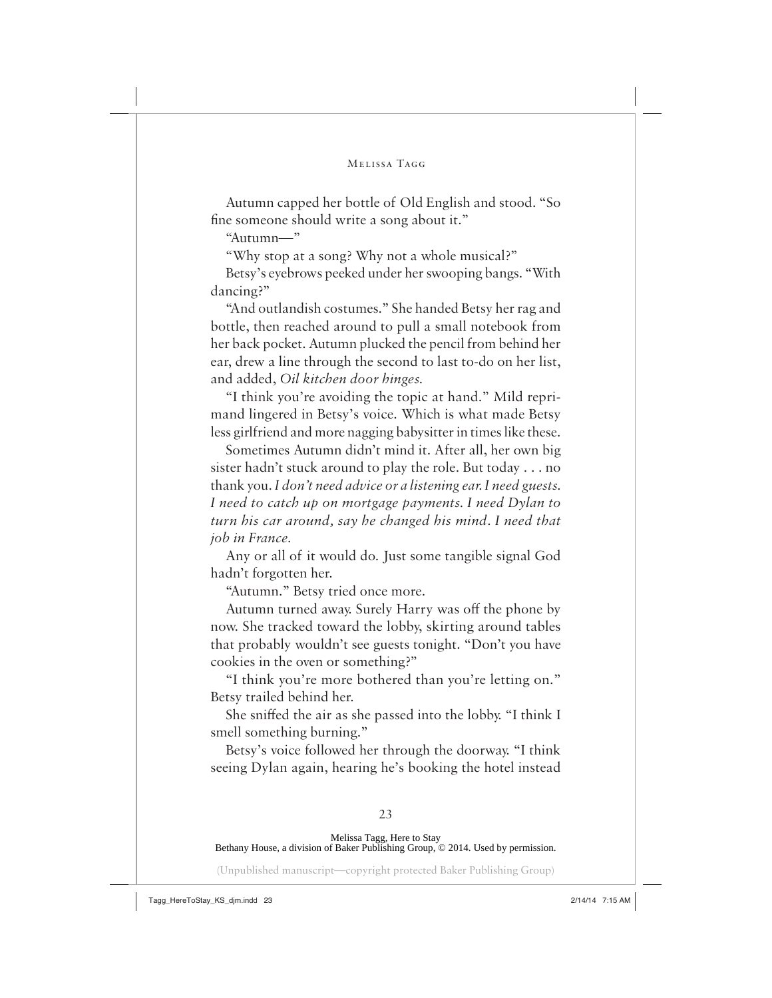Autumn capped her bottle of Old English and stood. "So fine someone should write a song about it."

"Autumn—"

"Why stop at a song? Why not a whole musical?"

Betsy's eyebrows peeked under her swooping bangs. "With dancing?"

"And outlandish costumes." She handed Betsy her rag and bottle, then reached around to pull a small notebook from her back pocket. Autumn plucked the pencil from behind her ear, drew a line through the second to last to-do on her list, and added, *Oil kitchen door hinges.*

"I think you're avoiding the topic at hand." Mild reprimand lingered in Betsy's voice. Which is what made Betsy less girlfriend and more nagging babysitter in times like these.

Sometimes Autumn didn't mind it. After all, her own big sister hadn't stuck around to play the role. But today . . . no thank you. *I don't need advice or a listening ear. I need guests. I need to catch up on mortgage payments. I need Dylan to turn his car around, say he changed his mind. I need that job in France.*

Any or all of it would do. Just some tangible signal God hadn't forgotten her.

"Autumn." Betsy tried once more.

Autumn turned away. Surely Harry was off the phone by now. She tracked toward the lobby, skirting around tables that probably wouldn't see guests tonight. "Don't you have cookies in the oven or something?"

"I think you're more bothered than you're letting on." Betsy trailed behind her.

She sniffed the air as she passed into the lobby. "I think I smell something burning."

Betsy's voice followed her through the doorway. "I think seeing Dylan again, hearing he's booking the hotel instead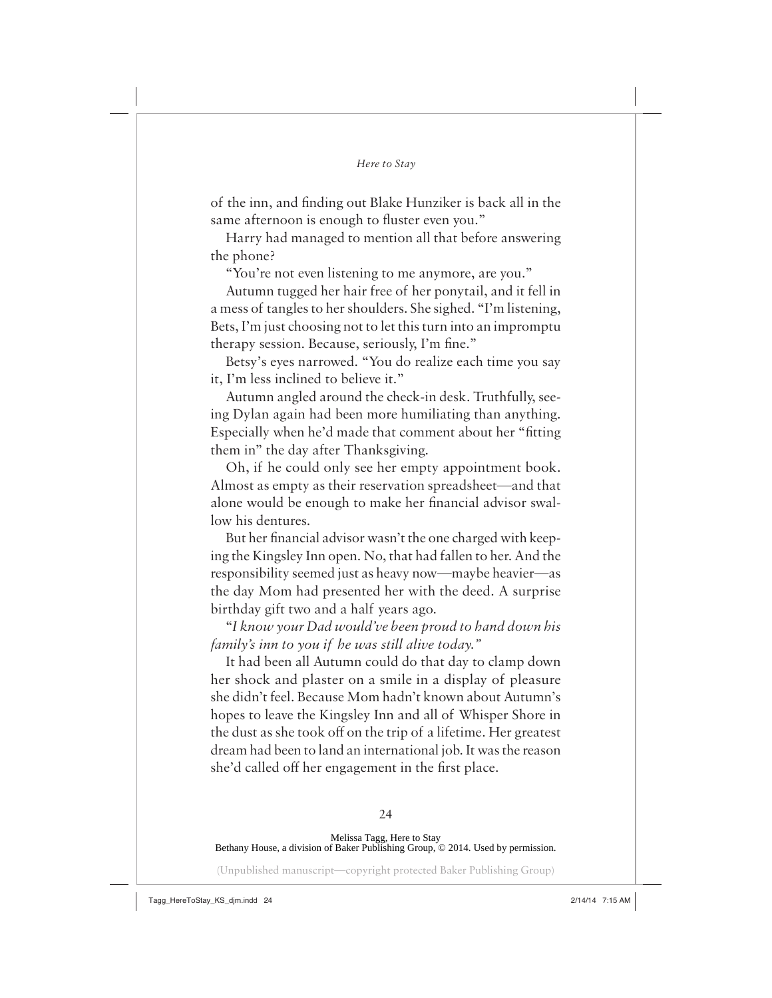of the inn, and finding out Blake Hunziker is back all in the same afternoon is enough to fluster even you."

Harry had managed to mention all that before answering the phone?

"You're not even listening to me anymore, are you."

Autumn tugged her hair free of her ponytail, and it fell in a mess of tangles to her shoulders. She sighed. "I'm listening, Bets, I'm just choosing not to let this turn into an impromptu therapy session. Because, seriously, I'm fine."

Betsy's eyes narrowed. "You do realize each time you say it, I'm less inclined to believe it."

Autumn angled around the check-in desk. Truthfully, seeing Dylan again had been more humiliating than anything. Especially when he'd made that comment about her "fitting them in" the day after Thanksgiving.

Oh, if he could only see her empty appointment book. Almost as empty as their reservation spreadsheet—and that alone would be enough to make her financial advisor swallow his dentures.

But her financial advisor wasn't the one charged with keeping the Kingsley Inn open. No, that had fallen to her. And the responsibility seemed just as heavy now—maybe heavier—as the day Mom had presented her with the deed. A surprise birthday gift two and a half years ago.

"*I know your Dad would've been proud to hand down his family's inn to you if he was still alive today."*

It had been all Autumn could do that day to clamp down her shock and plaster on a smile in a display of pleasure she didn't feel. Because Mom hadn't known about Autumn's hopes to leave the Kingsley Inn and all of Whisper Shore in the dust as she took off on the trip of a lifetime. Her greatest dream had been to land an international job. It was the reason she'd called off her engagement in the first place.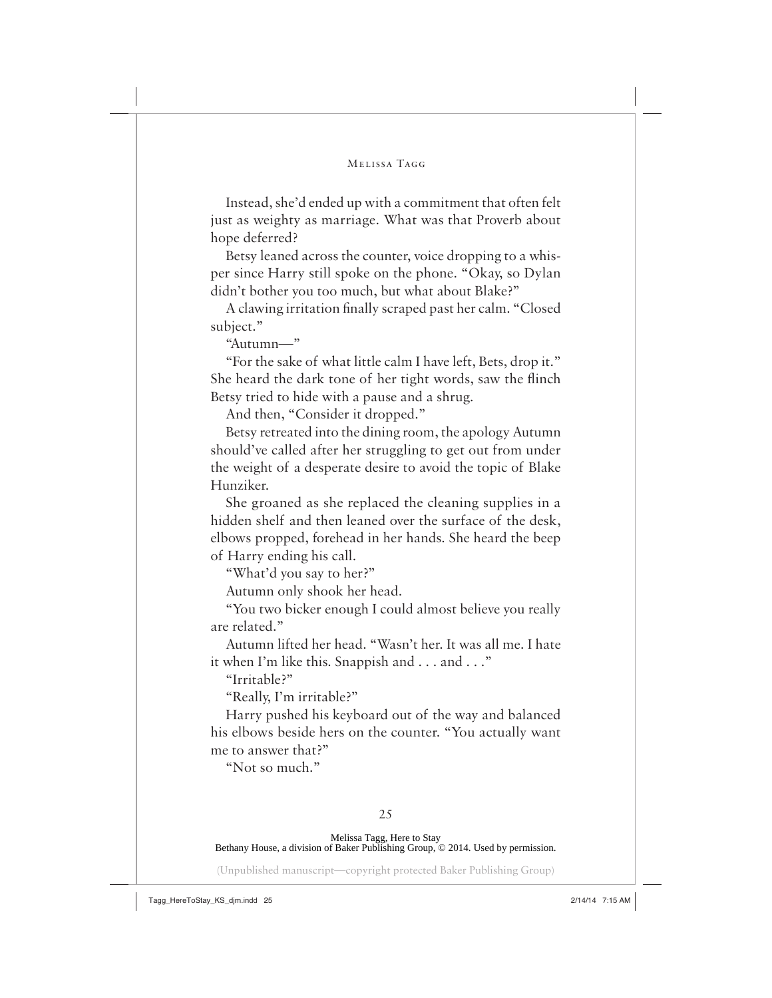Instead, she'd ended up with a commitment that often felt just as weighty as marriage. What was that Proverb about hope deferred?

Betsy leaned across the counter, voice dropping to a whisper since Harry still spoke on the phone. "Okay, so Dylan didn't bother you too much, but what about Blake?"

A clawing irritation finally scraped past her calm. "Closed subject."

 $"A$ utumn—"

"For the sake of what little calm I have left, Bets, drop it." She heard the dark tone of her tight words, saw the flinch Betsy tried to hide with a pause and a shrug.

And then, "Consider it dropped."

Betsy retreated into the dining room, the apology Autumn should've called after her struggling to get out from under the weight of a desperate desire to avoid the topic of Blake Hunziker.

She groaned as she replaced the cleaning supplies in a hidden shelf and then leaned over the surface of the desk, elbows propped, forehead in her hands. She heard the beep of Harry ending his call.

"What'd you say to her?"

Autumn only shook her head.

"You two bicker enough I could almost believe you really are related."

Autumn lifted her head. "Wasn't her. It was all me. I hate it when I'm like this. Snappish and . . . and . . ."

"Irritable?"

"Really, I'm irritable?"

Harry pushed his keyboard out of the way and balanced his elbows beside hers on the counter. "You actually want me to answer that?"

"Not so much."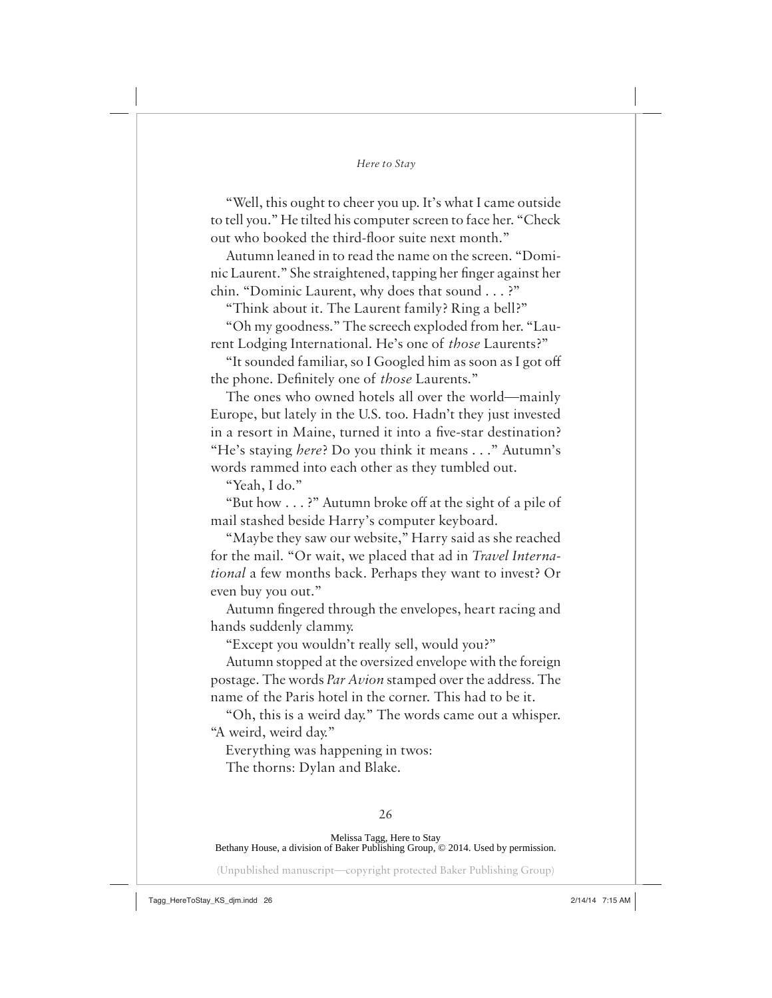"Well, this ought to cheer you up. It's what I came outside to tell you." He tilted his computer screen to face her. "Check out who booked the third-floor suite next month."

Autumn leaned in to read the name on the screen. "Dominic Laurent." She straightened, tapping her finger against her chin. "Dominic Laurent, why does that sound . . . ?"

"Think about it. The Laurent family? Ring a bell?"

"Oh my goodness." The screech exploded from her. "Laurent Lodging International. He's one of *those* Laurents?"

"It sounded familiar, so I Googled him as soon as I got off the phone. Definitely one of *those* Laurents."

The ones who owned hotels all over the world—mainly Europe, but lately in the U.S. too. Hadn't they just invested in a resort in Maine, turned it into a five-star destination? "He's staying *here*? Do you think it means . . ." Autumn's words rammed into each other as they tumbled out.

"Yeah, I do."

"But how  $\ldots$  ?" Autumn broke off at the sight of a pile of mail stashed beside Harry's computer keyboard.

"Maybe they saw our website," Harry said as she reached for the mail. "Or wait, we placed that ad in *Travel International* a few months back. Perhaps they want to invest? Or even buy you out."

Autumn fingered through the envelopes, heart racing and hands suddenly clammy.

"Except you wouldn't really sell, would you?"

Autumn stopped at the oversized envelope with the foreign postage. The words *Par Avion* stamped over the address. The name of the Paris hotel in the corner. This had to be it.

"Oh, this is a weird day." The words came out a whisper. "A weird, weird day."

Everything was happening in twos: The thorns: Dylan and Blake.